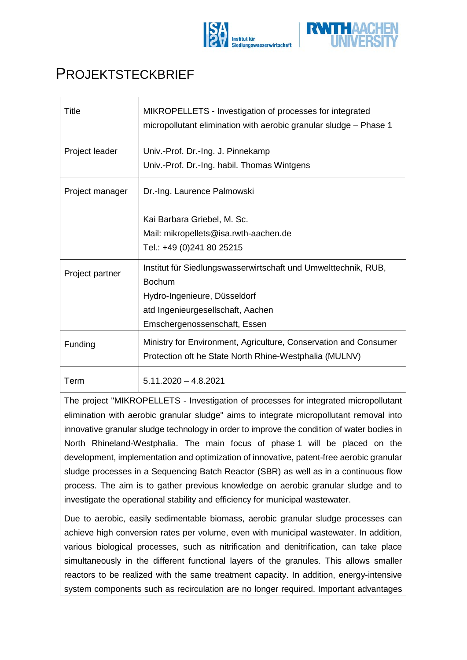



## **PROJEKTSTECKBRIEF**

| <b>Title</b>    | MIKROPELLETS - Investigation of processes for integrated<br>micropollutant elimination with aerobic granular sludge - Phase 1 |
|-----------------|-------------------------------------------------------------------------------------------------------------------------------|
| Project leader  | Univ.-Prof. Dr.-Ing. J. Pinnekamp<br>Univ.-Prof. Dr.-Ing. habil. Thomas Wintgens                                              |
| Project manager | Dr.-Ing. Laurence Palmowski                                                                                                   |
|                 | Kai Barbara Griebel, M. Sc.<br>Mail: mikropellets@isa.rwth-aachen.de<br>Tel.: +49 (0)241 80 25215                             |
| Project partner | Institut für Siedlungswasserwirtschaft und Umwelttechnik, RUB,<br><b>Bochum</b><br>Hydro-Ingenieure, Düsseldorf               |
|                 | atd Ingenieurgesellschaft, Aachen                                                                                             |
|                 | Emschergenossenschaft, Essen                                                                                                  |
| Funding         | Ministry for Environment, Agriculture, Conservation and Consumer<br>Protection oft he State North Rhine-Westphalia (MULNV)    |
| Term            | $5.11.2020 - 4.8.2021$                                                                                                        |

The project "MIKROPELLETS - Investigation of processes for integrated micropollutant elimination with aerobic granular sludge" aims to integrate micropollutant removal into innovative granular sludge technology in order to improve the condition of water bodies in North Rhineland-Westphalia. The main focus of phase 1 will be placed on the development, implementation and optimization of innovative, patent-free aerobic granular sludge processes in a Sequencing Batch Reactor (SBR) as well as in a continuous flow process. The aim is to gather previous knowledge on aerobic granular sludge and to investigate the operational stability and efficiency for municipal wastewater.

Due to aerobic, easily sedimentable biomass, aerobic granular sludge processes can achieve high conversion rates per volume, even with municipal wastewater. In addition, various biological processes, such as nitrification and denitrification, can take place simultaneously in the different functional layers of the granules. This allows smaller reactors to be realized with the same treatment capacity. In addition, energy-intensive system components such as recirculation are no longer required. Important advantages